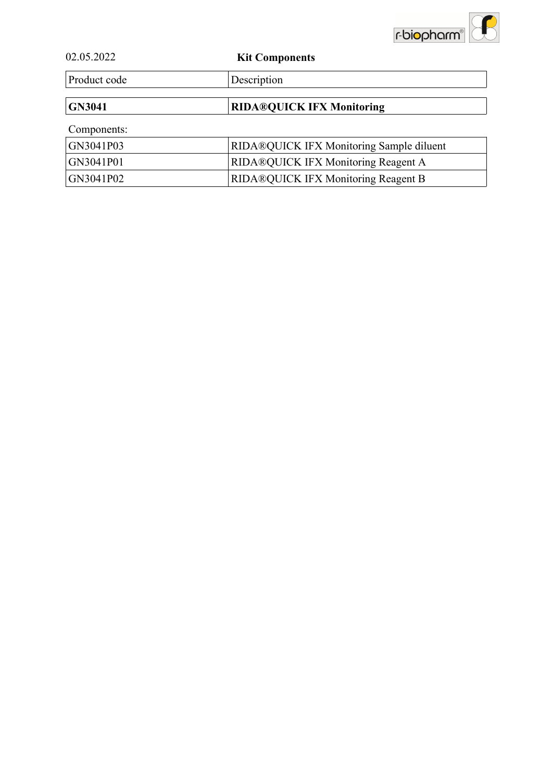

| 02.05.2022 |  |  |
|------------|--|--|
|            |  |  |

**Kit Components** 

Product code Description

**GN3041 RIDA®QUICK IFX Monitoring**

Components:

| GN3041P03 | <b>RIDA®QUICK IFX Monitoring Sample diluent</b> |
|-----------|-------------------------------------------------|
| GN3041P01 | <b>RIDA®QUICK IFX Monitoring Reagent A</b>      |
| GN3041P02 | <b>RIDA®QUICK IFX Monitoring Reagent B</b>      |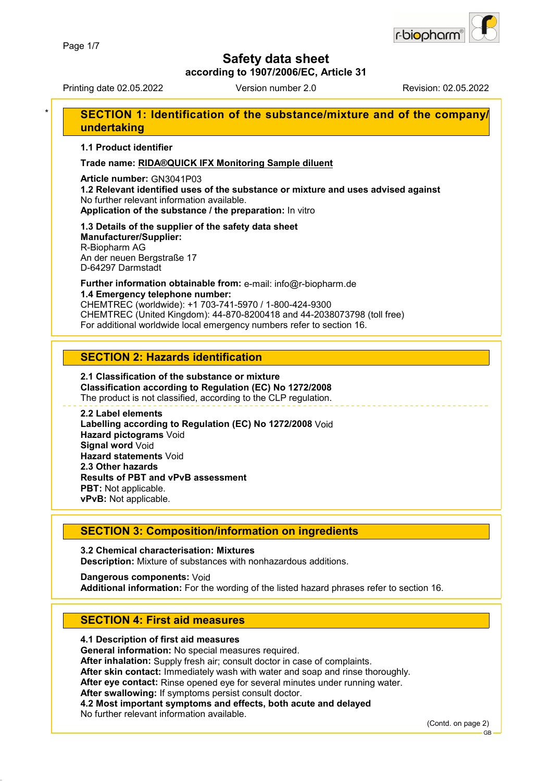

**according to 1907/2006/EC, Article 31**

Printing date 02.05.2022 Version number 2.0 Revision: 02.05.2022

### **SECTION 1: Identification of the substance/mixture and of the company/ undertaking**

**1.1 Product identifier**

**Trade name: RIDA®QUICK IFX Monitoring Sample diluent**

**Article number:** GN3041P03

**1.2 Relevant identified uses of the substance or mixture and uses advised against** No further relevant information available. **Application of the substance / the preparation:** In vitro

#### **1.3 Details of the supplier of the safety data sheet Manufacturer/Supplier:**

R-Biopharm AG An der neuen Bergstraße 17 D-64297 Darmstadt

### **Further information obtainable from:** e-mail: info@r-biopharm.de **1.4 Emergency telephone number:**

CHEMTREC (worldwide): +1 703-741-5970 / 1-800-424-9300 CHEMTREC (United Kingdom): 44-870-8200418 and 44-2038073798 (toll free) For additional worldwide local emergency numbers refer to section 16.

### **SECTION 2: Hazards identification**

#### **2.1 Classification of the substance or mixture Classification according to Regulation (EC) No 1272/2008** The product is not classified, according to the CLP regulation.

**2.2 Label elements Labelling according to Regulation (EC) No 1272/2008** Void **Hazard pictograms** Void **Signal word** Void **Hazard statements** Void **2.3 Other hazards Results of PBT and vPvB assessment PBT:** Not applicable. **vPvB:** Not applicable.

### **SECTION 3: Composition/information on ingredients**

**3.2 Chemical characterisation: Mixtures Description:** Mixture of substances with nonhazardous additions.

**Dangerous components:** Void **Additional information:** For the wording of the listed hazard phrases refer to section 16.

### **SECTION 4: First aid measures**

### **4.1 Description of first aid measures**

**General information:** No special measures required.

**After inhalation:** Supply fresh air; consult doctor in case of complaints.

**After skin contact:** Immediately wash with water and soap and rinse thoroughly.

**After eye contact:** Rinse opened eye for several minutes under running water.

**After swallowing:** If symptoms persist consult doctor.

**4.2 Most important symptoms and effects, both acute and delayed**

No further relevant information available.

(Contd. on page 2)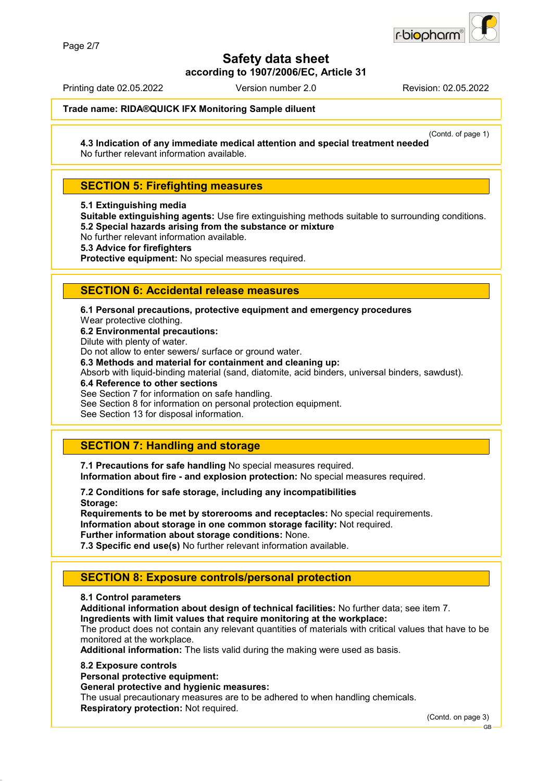

**according to 1907/2006/EC, Article 31**

Printing date 02.05.2022 Version number 2.0 Revision: 02.05.2022

**Trade name: RIDA®QUICK IFX Monitoring Sample diluent**

(Contd. of page 1)

**4.3 Indication of any immediate medical attention and special treatment needed** No further relevant information available.

### **SECTION 5: Firefighting measures**

**5.1 Extinguishing media**

**Suitable extinguishing agents:** Use fire extinguishing methods suitable to surrounding conditions. **5.2 Special hazards arising from the substance or mixture**

No further relevant information available.

**5.3 Advice for firefighters**

**Protective equipment:** No special measures required.

### **SECTION 6: Accidental release measures**

**6.1 Personal precautions, protective equipment and emergency procedures**

Wear protective clothing.

**6.2 Environmental precautions:**

Dilute with plenty of water.

Do not allow to enter sewers/ surface or ground water.

**6.3 Methods and material for containment and cleaning up:**

Absorb with liquid-binding material (sand, diatomite, acid binders, universal binders, sawdust).

**6.4 Reference to other sections**

See Section 7 for information on safe handling.

See Section 8 for information on personal protection equipment.

See Section 13 for disposal information.

### **SECTION 7: Handling and storage**

**7.1 Precautions for safe handling** No special measures required. **Information about fire - and explosion protection:** No special measures required.

**7.2 Conditions for safe storage, including any incompatibilities Storage:**

**Requirements to be met by storerooms and receptacles:** No special requirements. **Information about storage in one common storage facility:** Not required. **Further information about storage conditions:** None.

**7.3 Specific end use(s)** No further relevant information available.

### **SECTION 8: Exposure controls/personal protection**

#### **8.1 Control parameters**

**Additional information about design of technical facilities:** No further data; see item 7.

**Ingredients with limit values that require monitoring at the workplace:**

The product does not contain any relevant quantities of materials with critical values that have to be monitored at the workplace.

**Additional information:** The lists valid during the making were used as basis.

#### **8.2 Exposure controls**

**Personal protective equipment:**

**General protective and hygienic measures:**

The usual precautionary measures are to be adhered to when handling chemicals. **Respiratory protection:** Not required.

(Contd. on page 3)

GB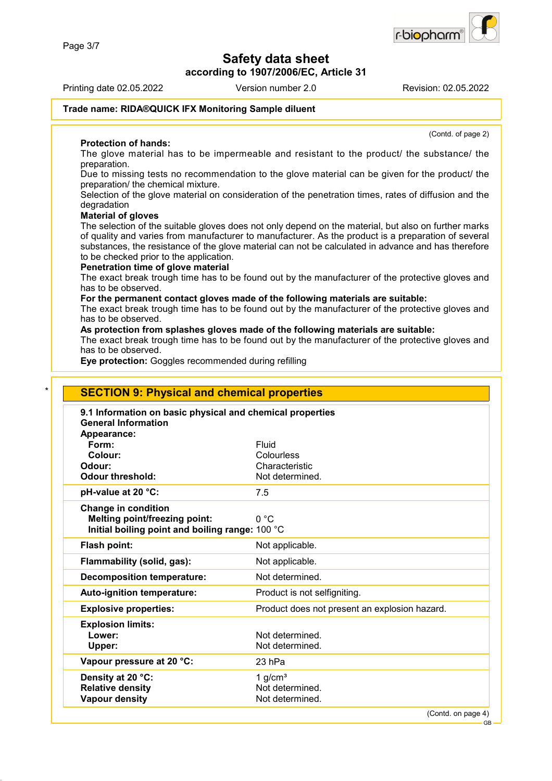**according to 1907/2006/EC, Article 31**

Printing date 02.05.2022 Version number 2.0 Revision: 02.05.2022

r-biopharr

(Contd. of page 2)

#### **Trade name: RIDA®QUICK IFX Monitoring Sample diluent**

#### **Protection of hands:**

The glove material has to be impermeable and resistant to the product/ the substance/ the preparation.

Due to missing tests no recommendation to the glove material can be given for the product/ the preparation/ the chemical mixture.

Selection of the glove material on consideration of the penetration times, rates of diffusion and the degradation

#### **Material of gloves**

The selection of the suitable gloves does not only depend on the material, but also on further marks of quality and varies from manufacturer to manufacturer. As the product is a preparation of several substances, the resistance of the glove material can not be calculated in advance and has therefore to be checked prior to the application.

#### **Penetration time of glove material**

The exact break trough time has to be found out by the manufacturer of the protective gloves and has to be observed.

#### **For the permanent contact gloves made of the following materials are suitable:**

The exact break trough time has to be found out by the manufacturer of the protective gloves and has to be observed.

### **As protection from splashes gloves made of the following materials are suitable:**

The exact break trough time has to be found out by the manufacturer of the protective gloves and has to be observed.

**Eye protection:** Goggles recommended during refilling

| 9.1 Information on basic physical and chemical properties<br><b>General Information</b> |                                               |
|-----------------------------------------------------------------------------------------|-----------------------------------------------|
| Appearance:                                                                             |                                               |
| Form:                                                                                   | Fluid                                         |
| Colour:                                                                                 | Colourless                                    |
| Odour:                                                                                  | Characteristic                                |
| <b>Odour threshold:</b>                                                                 | Not determined.                               |
| pH-value at 20 °C:                                                                      | 7.5                                           |
| <b>Change in condition</b>                                                              |                                               |
| <b>Melting point/freezing point:</b>                                                    | 0 °C                                          |
| Initial boiling point and boiling range: 100 °C                                         |                                               |
| Flash point:                                                                            | Not applicable.                               |
| Flammability (solid, gas):                                                              | Not applicable.                               |
| <b>Decomposition temperature:</b>                                                       | Not determined.                               |
| Auto-ignition temperature:                                                              | Product is not selfigniting.                  |
| <b>Explosive properties:</b>                                                            | Product does not present an explosion hazard. |
| <b>Explosion limits:</b>                                                                |                                               |
| Lower:                                                                                  | Not determined.                               |
| Upper:                                                                                  | Not determined.                               |
| Vapour pressure at 20 °C:                                                               | 23 hPa                                        |
| Density at 20 °C:                                                                       | 1 $q/cm3$                                     |
| <b>Relative density</b>                                                                 | Not determined.                               |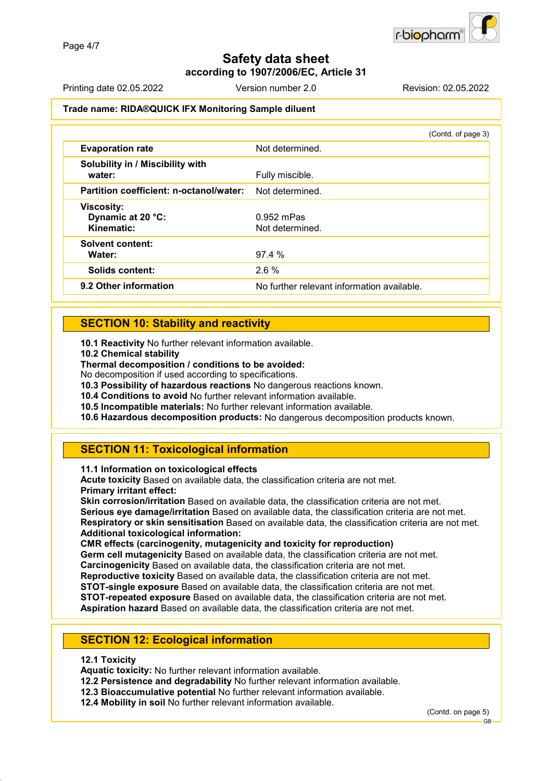**according to 1907/2006/EC, Article 31**

Printing date 02.05.2022 Version number 2.0 Revision: 02.05.2022

### **Trade name: RIDA®QUICK IFX Monitoring Sample diluent**

|                                                      | (Contd. of page 3)                         |
|------------------------------------------------------|--------------------------------------------|
| <b>Evaporation rate</b>                              | Not determined.                            |
| Solubility in / Miscibility with<br>water:           | Fully miscible.                            |
| Partition coefficient: n-octanol/water:              | Not determined.                            |
| <b>Viscosity:</b><br>Dynamic at 20 °C:<br>Kinematic: | $0.952$ mPas<br>Not determined.            |
| <b>Solvent content:</b><br>Water:                    | 97.4%                                      |
| <b>Solids content:</b>                               | 2.6%                                       |
| 9.2 Other information                                | No further relevant information available. |

### **SECTION 10: Stability and reactivity**

**10.1 Reactivity** No further relevant information available.

**10.2 Chemical stability**

**Thermal decomposition / conditions to be avoided:**

No decomposition if used according to specifications.

**10.3 Possibility of hazardous reactions** No dangerous reactions known.

**10.4 Conditions to avoid** No further relevant information available.

**10.5 Incompatible materials:** No further relevant information available.

**10.6 Hazardous decomposition products:** No dangerous decomposition products known.

### **SECTION 11: Toxicological information**

**11.1 Information on toxicological effects**

**Acute toxicity** Based on available data, the classification criteria are not met. **Primary irritant effect:**

**Skin corrosion/irritation** Based on available data, the classification criteria are not met. **Serious eye damage/irritation** Based on available data, the classification criteria are not met. **Respiratory or skin sensitisation** Based on available data, the classification criteria are not met. **Additional toxicological information:**

**CMR effects (carcinogenity, mutagenicity and toxicity for reproduction)**

**Germ cell mutagenicity** Based on available data, the classification criteria are not met.

**Carcinogenicity** Based on available data, the classification criteria are not met.

**Reproductive toxicity** Based on available data, the classification criteria are not met. **STOT-single exposure** Based on available data, the classification criteria are not met.

**STOT-repeated exposure** Based on available data, the classification criteria are not met.

**Aspiration hazard** Based on available data, the classification criteria are not met.

### **SECTION 12: Ecological information**

#### **12.1 Toxicity**

**Aquatic toxicity:** No further relevant information available.

**12.2 Persistence and degradability** No further relevant information available.

**12.3 Bioaccumulative potential** No further relevant information available.

**12.4 Mobility in soil** No further relevant information available.

(Contd. on page 5)

GB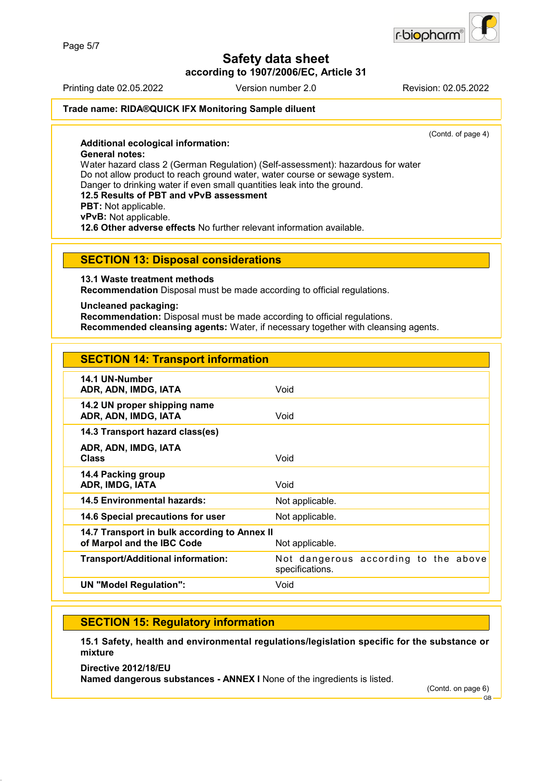r-biopharn

# **Safety data sheet**

**according to 1907/2006/EC, Article 31**

Printing date 02.05.2022 Version number 2.0 Revision: 02.05.2022

#### **Trade name: RIDA®QUICK IFX Monitoring Sample diluent**

(Contd. of page 4)

**Additional ecological information: General notes:** Water hazard class 2 (German Regulation) (Self-assessment): hazardous for water Do not allow product to reach ground water, water course or sewage system. Danger to drinking water if even small quantities leak into the ground. **12.5 Results of PBT and vPvB assessment PBT:** Not applicable. **vPvB:** Not applicable. **12.6 Other adverse effects** No further relevant information available.

#### **SECTION 13: Disposal considerations**

**13.1 Waste treatment methods**

**Recommendation** Disposal must be made according to official regulations.

#### **Uncleaned packaging:**

**Recommendation:** Disposal must be made according to official regulations. **Recommended cleansing agents:** Water, if necessary together with cleansing agents.

| <b>SECTION 14: Transport information</b>                                   |                                                         |
|----------------------------------------------------------------------------|---------------------------------------------------------|
| 14.1 UN-Number<br>ADR, ADN, IMDG, IATA                                     | Void                                                    |
| 14.2 UN proper shipping name<br>ADR, ADN, IMDG, IATA                       | Void                                                    |
| 14.3 Transport hazard class(es)                                            |                                                         |
| ADR, ADN, IMDG, IATA<br><b>Class</b>                                       | Void                                                    |
| 14.4 Packing group<br>ADR, IMDG, IATA                                      | Void                                                    |
| 14.5 Environmental hazards:                                                | Not applicable.                                         |
| 14.6 Special precautions for user                                          | Not applicable.                                         |
| 14.7 Transport in bulk according to Annex II<br>of Marpol and the IBC Code | Not applicable.                                         |
| <b>Transport/Additional information:</b>                                   | Not dangerous according to the above<br>specifications. |
| UN "Model Regulation":                                                     | Void                                                    |

### **SECTION 15: Regulatory information**

**15.1 Safety, health and environmental regulations/legislation specific for the substance or mixture**

**Directive 2012/18/EU Named dangerous substances - ANNEX I** None of the ingredients is listed.

(Contd. on page 6)

GB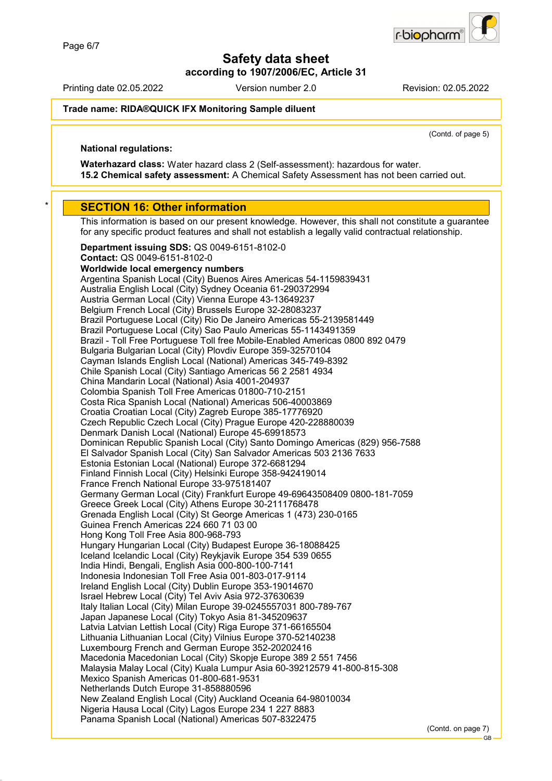**according to 1907/2006/EC, Article 31**

Printing date 02.05.2022 Version number 2.0 Revision: 02.05.2022

r-biopharr

#### **Trade name: RIDA®QUICK IFX Monitoring Sample diluent**

(Contd. of page 5)

### **National regulations:**

**Waterhazard class:** Water hazard class 2 (Self-assessment): hazardous for water. **15.2 Chemical safety assessment:** A Chemical Safety Assessment has not been carried out.

#### **SECTION 16: Other information**

This information is based on our present knowledge. However, this shall not constitute a guarantee for any specific product features and shall not establish a legally valid contractual relationship.

**Department issuing SDS:** QS 0049-6151-8102-0 **Contact:** QS 0049-6151-8102-0 **Worldwide local emergency numbers** Argentina Spanish Local (City) Buenos Aires Americas 54-1159839431 Australia English Local (City) Sydney Oceania 61-290372994 Austria German Local (City) Vienna Europe 43-13649237 Belgium French Local (City) Brussels Europe 32-28083237 Brazil Portuguese Local (City) Rio De Janeiro Americas 55-2139581449 Brazil Portuguese Local (City) Sao Paulo Americas 55-1143491359 Brazil - Toll Free Portuguese Toll free Mobile-Enabled Americas 0800 892 0479 Bulgaria Bulgarian Local (City) Plovdiv Europe 359-32570104 Cayman Islands English Local (National) Americas 345-749-8392 Chile Spanish Local (City) Santiago Americas 56 2 2581 4934 China Mandarin Local (National) Asia 4001-204937 Colombia Spanish Toll Free Americas 01800-710-2151 Costa Rica Spanish Local (National) Americas 506-40003869 Croatia Croatian Local (City) Zagreb Europe 385-17776920 Czech Republic Czech Local (City) Prague Europe 420-228880039 Denmark Danish Local (National) Europe 45-69918573 Dominican Republic Spanish Local (City) Santo Domingo Americas (829) 956-7588 El Salvador Spanish Local (City) San Salvador Americas 503 2136 7633 Estonia Estonian Local (National) Europe 372-6681294 Finland Finnish Local (City) Helsinki Europe 358-942419014 France French National Europe 33-975181407 Germany German Local (City) Frankfurt Europe 49-69643508409 0800-181-7059 Greece Greek Local (City) Athens Europe 30-2111768478 Grenada English Local (City) St George Americas 1 (473) 230-0165 Guinea French Americas 224 660 71 03 00 Hong Kong Toll Free Asia 800-968-793 Hungary Hungarian Local (City) Budapest Europe 36-18088425 Iceland Icelandic Local (City) Reykjavik Europe 354 539 0655 India Hindi, Bengali, English Asia 000-800-100-7141 Indonesia Indonesian Toll Free Asia 001-803-017-9114 Ireland English Local (City) Dublin Europe 353-19014670 Israel Hebrew Local (City) Tel Aviv Asia 972-37630639 Italy Italian Local (City) Milan Europe 39-0245557031 800-789-767 Japan Japanese Local (City) Tokyo Asia 81-345209637 Latvia Latvian Lettish Local (City) Riga Europe 371-66165504 Lithuania Lithuanian Local (City) Vilnius Europe 370-52140238 Luxembourg French and German Europe 352-20202416 Macedonia Macedonian Local (City) Skopje Europe 389 2 551 7456 Malaysia Malay Local (City) Kuala Lumpur Asia 60-39212579 41-800-815-308 Mexico Spanish Americas 01-800-681-9531 Netherlands Dutch Europe 31-858880596 New Zealand English Local (City) Auckland Oceania 64-98010034 Nigeria Hausa Local (City) Lagos Europe 234 1 227 8883 Panama Spanish Local (National) Americas 507-8322475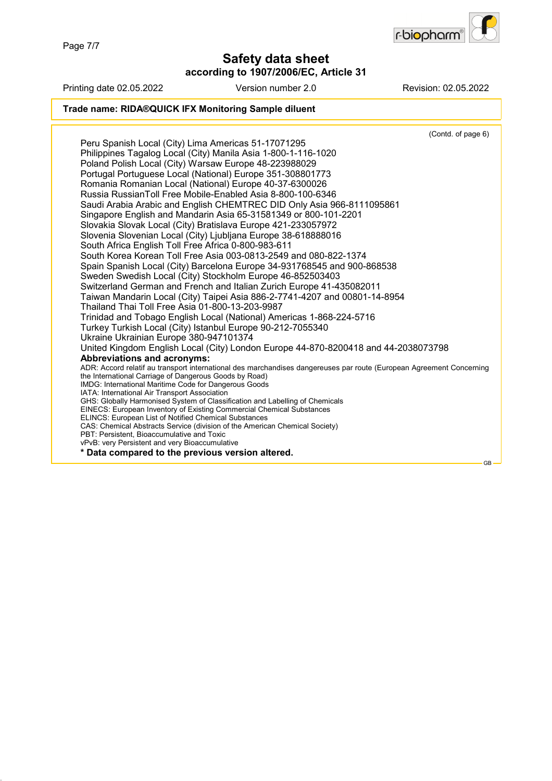Page 7/7

**Safety data sheet**

**according to 1907/2006/EC, Article 31**



Printing date 02.05.2022 Version number 2.0 Revision: 02.05.2022 **Trade name: RIDA®QUICK IFX Monitoring Sample diluent** (Contd. of page 6) Peru Spanish Local (City) Lima Americas 51-17071295 Philippines Tagalog Local (City) Manila Asia 1-800-1-116-1020 Poland Polish Local (City) Warsaw Europe 48-223988029 Portugal Portuguese Local (National) Europe 351-308801773 Romania Romanian Local (National) Europe 40-37-6300026 Russia RussianToll Free Mobile-Enabled Asia 8-800-100-6346 Saudi Arabia Arabic and English CHEMTREC DID Only Asia 966-8111095861 Singapore English and Mandarin Asia 65-31581349 or 800-101-2201 Slovakia Slovak Local (City) Bratislava Europe 421-233057972 Slovenia Slovenian Local (City) Ljubljana Europe 38-618888016 South Africa English Toll Free Africa 0-800-983-611 South Korea Korean Toll Free Asia 003-0813-2549 and 080-822-1374 Spain Spanish Local (City) Barcelona Europe 34-931768545 and 900-868538 Sweden Swedish Local (City) Stockholm Europe 46-852503403 Switzerland German and French and Italian Zurich Europe 41-435082011 Taiwan Mandarin Local (City) Taipei Asia 886-2-7741-4207 and 00801-14-8954 Thailand Thai Toll Free Asia 01-800-13-203-9987 Trinidad and Tobago English Local (National) Americas 1-868-224-5716 Turkey Turkish Local (City) Istanbul Europe 90-212-7055340 Ukraine Ukrainian Europe 380-947101374 United Kingdom English Local (City) London Europe 44-870-8200418 and 44-2038073798 **Abbreviations and acronyms:** ADR: Accord relatif au transport international des marchandises dangereuses par route (European Agreement Concerning the International Carriage of Dangerous Goods by Road) IMDG: International Maritime Code for Dangerous Goods IATA: International Air Transport Association GHS: Globally Harmonised System of Classification and Labelling of Chemicals EINECS: European Inventory of Existing Commercial Chemical Substances ELINCS: European List of Notified Chemical Substances CAS: Chemical Abstracts Service (division of the American Chemical Society) PBT: Persistent, Bioaccumulative and Toxic vPvB: very Persistent and very Bioaccumulative **\* Data compared to the previous version altered.** GB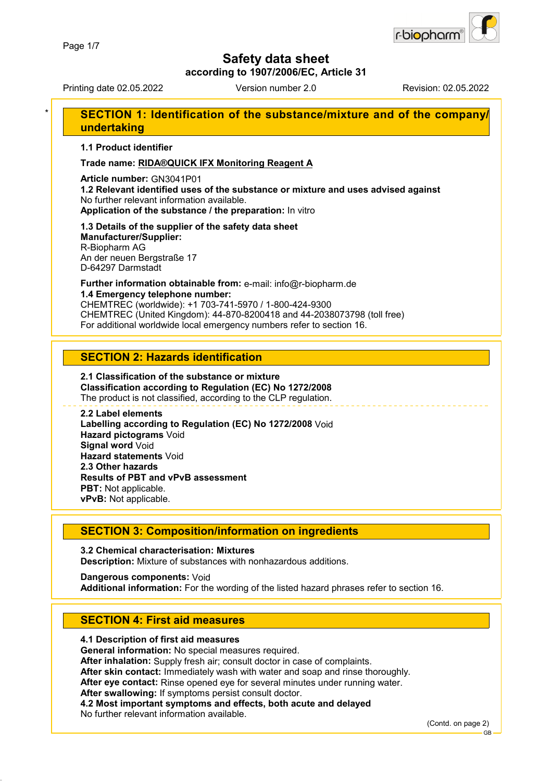

**according to 1907/2006/EC, Article 31**

Printing date 02.05.2022 Version number 2.0 Revision: 02.05.2022

### **SECTION 1: Identification of the substance/mixture and of the company/ undertaking**

**1.1 Product identifier**

**Trade name: RIDA®QUICK IFX Monitoring Reagent A**

**Article number:** GN3041P01

**1.2 Relevant identified uses of the substance or mixture and uses advised against** No further relevant information available. **Application of the substance / the preparation:** In vitro

# **1.3 Details of the supplier of the safety data sheet**

**Manufacturer/Supplier:** R-Biopharm AG An der neuen Bergstraße 17 D-64297 Darmstadt

**Further information obtainable from:** e-mail: info@r-biopharm.de **1.4 Emergency telephone number:**

CHEMTREC (worldwide): +1 703-741-5970 / 1-800-424-9300 CHEMTREC (United Kingdom): 44-870-8200418 and 44-2038073798 (toll free) For additional worldwide local emergency numbers refer to section 16.

### **SECTION 2: Hazards identification**

#### **2.1 Classification of the substance or mixture Classification according to Regulation (EC) No 1272/2008** The product is not classified, according to the CLP regulation.

**2.2 Label elements Labelling according to Regulation (EC) No 1272/2008** Void **Hazard pictograms** Void **Signal word** Void **Hazard statements** Void **2.3 Other hazards Results of PBT and vPvB assessment PBT:** Not applicable. **vPvB:** Not applicable.

### **SECTION 3: Composition/information on ingredients**

**3.2 Chemical characterisation: Mixtures Description:** Mixture of substances with nonhazardous additions.

**Dangerous components:** Void **Additional information:** For the wording of the listed hazard phrases refer to section 16.

### **SECTION 4: First aid measures**

### **4.1 Description of first aid measures**

**General information:** No special measures required.

**After inhalation:** Supply fresh air; consult doctor in case of complaints.

**After skin contact:** Immediately wash with water and soap and rinse thoroughly.

**After eye contact:** Rinse opened eye for several minutes under running water.

**After swallowing:** If symptoms persist consult doctor.

**4.2 Most important symptoms and effects, both acute and delayed**

No further relevant information available.

(Contd. on page 2)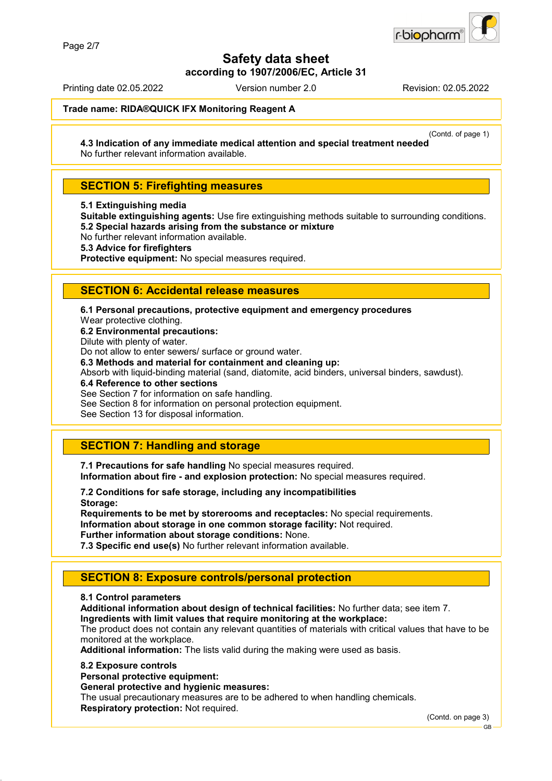

**according to 1907/2006/EC, Article 31**

Printing date 02.05.2022 Version number 2.0 Revision: 02.05.2022

**Trade name: RIDA®QUICK IFX Monitoring Reagent A**

(Contd. of page 1)

**4.3 Indication of any immediate medical attention and special treatment needed** No further relevant information available.

### **SECTION 5: Firefighting measures**

**5.1 Extinguishing media**

**Suitable extinguishing agents:** Use fire extinguishing methods suitable to surrounding conditions. **5.2 Special hazards arising from the substance or mixture**

No further relevant information available.

**5.3 Advice for firefighters**

**Protective equipment:** No special measures required.

### **SECTION 6: Accidental release measures**

**6.1 Personal precautions, protective equipment and emergency procedures**

Wear protective clothing.

**6.2 Environmental precautions:**

Dilute with plenty of water.

Do not allow to enter sewers/ surface or ground water.

**6.3 Methods and material for containment and cleaning up:**

Absorb with liquid-binding material (sand, diatomite, acid binders, universal binders, sawdust).

**6.4 Reference to other sections**

See Section 7 for information on safe handling.

See Section 8 for information on personal protection equipment.

See Section 13 for disposal information.

### **SECTION 7: Handling and storage**

**7.1 Precautions for safe handling** No special measures required. **Information about fire - and explosion protection:** No special measures required.

**7.2 Conditions for safe storage, including any incompatibilities Storage:**

**Requirements to be met by storerooms and receptacles:** No special requirements. **Information about storage in one common storage facility:** Not required. **Further information about storage conditions:** None.

**7.3 Specific end use(s)** No further relevant information available.

### **SECTION 8: Exposure controls/personal protection**

#### **8.1 Control parameters**

**Additional information about design of technical facilities:** No further data; see item 7.

**Ingredients with limit values that require monitoring at the workplace:**

The product does not contain any relevant quantities of materials with critical values that have to be monitored at the workplace.

**Additional information:** The lists valid during the making were used as basis.

#### **8.2 Exposure controls**

**Personal protective equipment:**

**General protective and hygienic measures:**

The usual precautionary measures are to be adhered to when handling chemicals. **Respiratory protection:** Not required.

(Contd. on page 3)

GB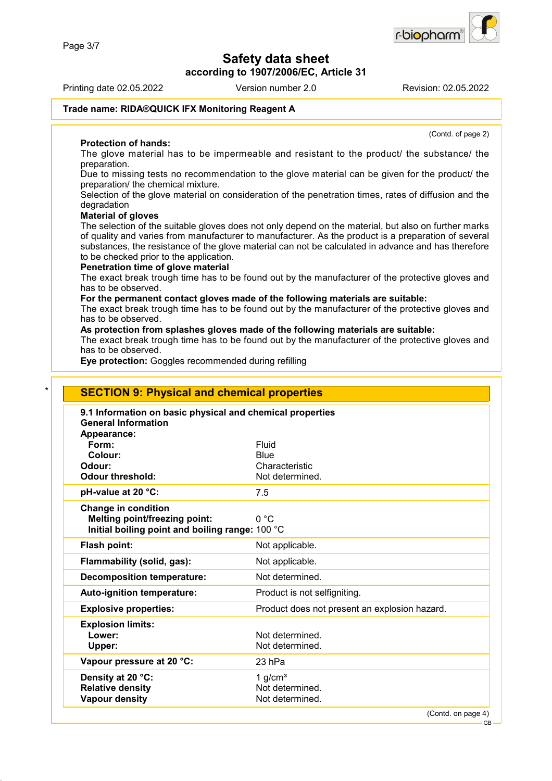**according to 1907/2006/EC, Article 31**

Printing date 02.05.2022 Version number 2.0 Revision: 02.05.2022

**Trade name: RIDA®QUICK IFX Monitoring Reagent A**

**Protection of hands:** The glove material has to be impermeable and resistant to the product/ the substance/ the preparation.

Due to missing tests no recommendation to the glove material can be given for the product/ the preparation/ the chemical mixture.

Selection of the glove material on consideration of the penetration times, rates of diffusion and the degradation

#### **Material of gloves**

The selection of the suitable gloves does not only depend on the material, but also on further marks of quality and varies from manufacturer to manufacturer. As the product is a preparation of several substances, the resistance of the glove material can not be calculated in advance and has therefore to be checked prior to the application.

#### **Penetration time of glove material**

The exact break trough time has to be found out by the manufacturer of the protective gloves and has to be observed.

#### **For the permanent contact gloves made of the following materials are suitable:**

The exact break trough time has to be found out by the manufacturer of the protective gloves and has to be observed.

### **As protection from splashes gloves made of the following materials are suitable:**

The exact break trough time has to be found out by the manufacturer of the protective gloves and has to be observed.

**Eye protection:** Goggles recommended during refilling

| 9.1 Information on basic physical and chemical properties<br><b>General Information</b> |                                               |
|-----------------------------------------------------------------------------------------|-----------------------------------------------|
| Appearance:                                                                             |                                               |
| Form:                                                                                   | Fluid                                         |
| Colour:                                                                                 | Blue                                          |
| Odour:                                                                                  | Characteristic                                |
| <b>Odour threshold:</b>                                                                 | Not determined.                               |
| pH-value at 20 °C:                                                                      | 7.5                                           |
| <b>Change in condition</b>                                                              |                                               |
| <b>Melting point/freezing point:</b>                                                    | 0 °C                                          |
| Initial boiling point and boiling range: 100 °C                                         |                                               |
| <b>Flash point:</b>                                                                     | Not applicable.                               |
| Flammability (solid, gas):                                                              | Not applicable.                               |
| <b>Decomposition temperature:</b>                                                       | Not determined.                               |
| Auto-ignition temperature:                                                              | Product is not selfigniting.                  |
| <b>Explosive properties:</b>                                                            | Product does not present an explosion hazard. |
| <b>Explosion limits:</b>                                                                |                                               |
| Lower:                                                                                  | Not determined.                               |
| Upper:                                                                                  | Not determined.                               |
| Vapour pressure at 20 °C:                                                               | 23 hPa                                        |
| Density at 20 °C:                                                                       | 1 $g/cm3$                                     |
| <b>Relative density</b>                                                                 | Not determined.                               |



(Contd. of page 2)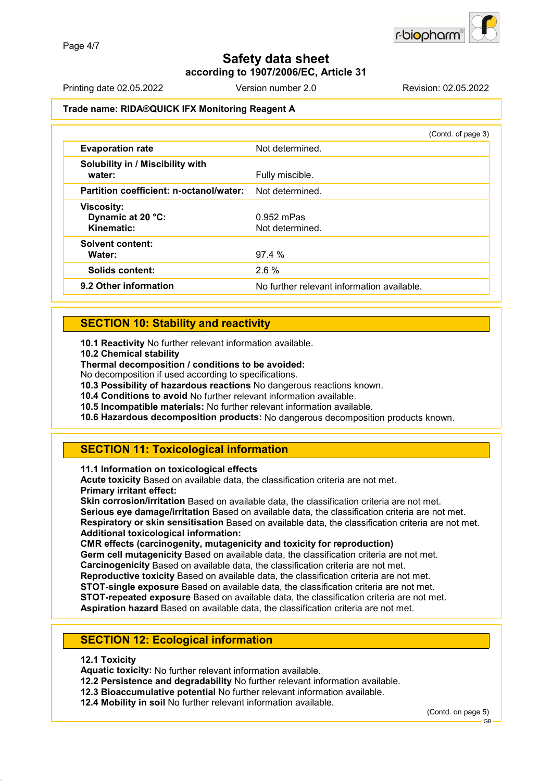### **Safety data sheet according to 1907/2006/EC, Article 31**

Printing date 02.05.2022 Version number 2.0 Revision: 02.05.2022

### **Trade name: RIDA®QUICK IFX Monitoring Reagent A**

|                                                      | (Contd. of page 3)                         |
|------------------------------------------------------|--------------------------------------------|
| <b>Evaporation rate</b>                              | Not determined.                            |
| Solubility in / Miscibility with<br>water:           | Fully miscible.                            |
| Partition coefficient: n-octanol/water:              | Not determined.                            |
| <b>Viscosity:</b><br>Dynamic at 20 °C:<br>Kinematic: | $0.952$ mPas<br>Not determined.            |
| <b>Solvent content:</b><br>Water:                    | 97.4%                                      |
| Solids content:                                      | 2.6%                                       |
| 9.2 Other information                                | No further relevant information available. |

### **SECTION 10: Stability and reactivity**

**10.1 Reactivity** No further relevant information available.

**10.2 Chemical stability**

**Thermal decomposition / conditions to be avoided:**

No decomposition if used according to specifications.

**10.3 Possibility of hazardous reactions** No dangerous reactions known.

**10.4 Conditions to avoid** No further relevant information available.

**10.5 Incompatible materials:** No further relevant information available.

**10.6 Hazardous decomposition products:** No dangerous decomposition products known.

### **SECTION 11: Toxicological information**

**11.1 Information on toxicological effects**

**Acute toxicity** Based on available data, the classification criteria are not met. **Primary irritant effect:**

**Skin corrosion/irritation** Based on available data, the classification criteria are not met. **Serious eye damage/irritation** Based on available data, the classification criteria are not met. **Respiratory or skin sensitisation** Based on available data, the classification criteria are not met. **Additional toxicological information:**

### **CMR effects (carcinogenity, mutagenicity and toxicity for reproduction)**

**Germ cell mutagenicity** Based on available data, the classification criteria are not met.

**Carcinogenicity** Based on available data, the classification criteria are not met.

**Reproductive toxicity** Based on available data, the classification criteria are not met.

**STOT-single exposure** Based on available data, the classification criteria are not met. **STOT-repeated exposure** Based on available data, the classification criteria are not met.

**Aspiration hazard** Based on available data, the classification criteria are not met.

### **SECTION 12: Ecological information**

#### **12.1 Toxicity**

**Aquatic toxicity:** No further relevant information available.

**12.2 Persistence and degradability** No further relevant information available.

**12.3 Bioaccumulative potential** No further relevant information available.

**12.4 Mobility in soil** No further relevant information available.

(Contd. on page 5)

GB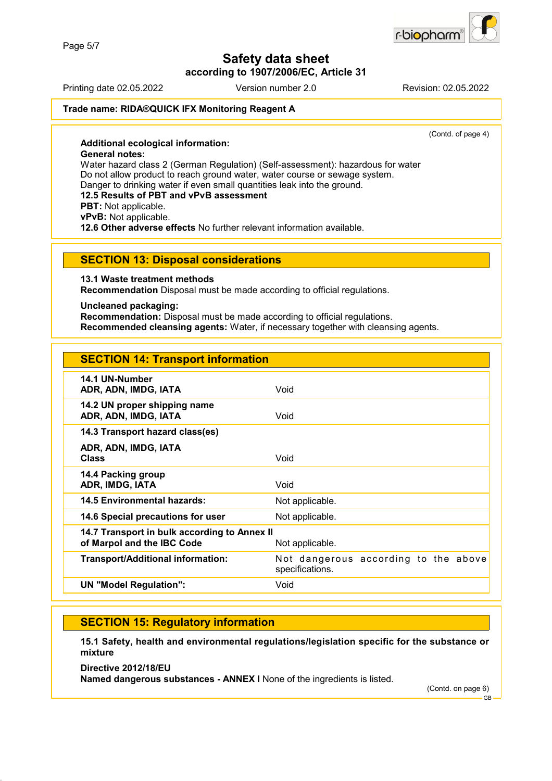**according to 1907/2006/EC, Article 31**

Printing date 02.05.2022 Version number 2.0 Revision: 02.05.2022

r-biopharn

#### **Trade name: RIDA®QUICK IFX Monitoring Reagent A**

(Contd. of page 4)

**Additional ecological information: General notes:** Water hazard class 2 (German Regulation) (Self-assessment): hazardous for water Do not allow product to reach ground water, water course or sewage system. Danger to drinking water if even small quantities leak into the ground. **12.5 Results of PBT and vPvB assessment PBT:** Not applicable. **vPvB:** Not applicable. **12.6 Other adverse effects** No further relevant information available.

#### **SECTION 13: Disposal considerations**

**13.1 Waste treatment methods**

**Recommendation** Disposal must be made according to official regulations.

#### **Uncleaned packaging:**

**Recommendation:** Disposal must be made according to official regulations. **Recommended cleansing agents:** Water, if necessary together with cleansing agents.

| <b>SECTION 14: Transport information</b>                                   |                                                         |
|----------------------------------------------------------------------------|---------------------------------------------------------|
| 14.1 UN-Number<br>ADR, ADN, IMDG, IATA                                     | Void                                                    |
| 14.2 UN proper shipping name<br>ADR, ADN, IMDG, IATA                       | Void                                                    |
| 14.3 Transport hazard class(es)                                            |                                                         |
| ADR, ADN, IMDG, IATA<br><b>Class</b>                                       | Void                                                    |
| 14.4 Packing group<br>ADR, IMDG, IATA                                      | Void                                                    |
| <b>14.5 Environmental hazards:</b>                                         | Not applicable.                                         |
| 14.6 Special precautions for user                                          | Not applicable.                                         |
| 14.7 Transport in bulk according to Annex II<br>of Marpol and the IBC Code | Not applicable.                                         |
| <b>Transport/Additional information:</b>                                   | Not dangerous according to the above<br>specifications. |
| <b>UN "Model Regulation":</b>                                              | Void                                                    |
|                                                                            |                                                         |

### **SECTION 15: Regulatory information**

**15.1 Safety, health and environmental regulations/legislation specific for the substance or mixture**

**Directive 2012/18/EU Named dangerous substances - ANNEX I** None of the ingredients is listed.

(Contd. on page 6)

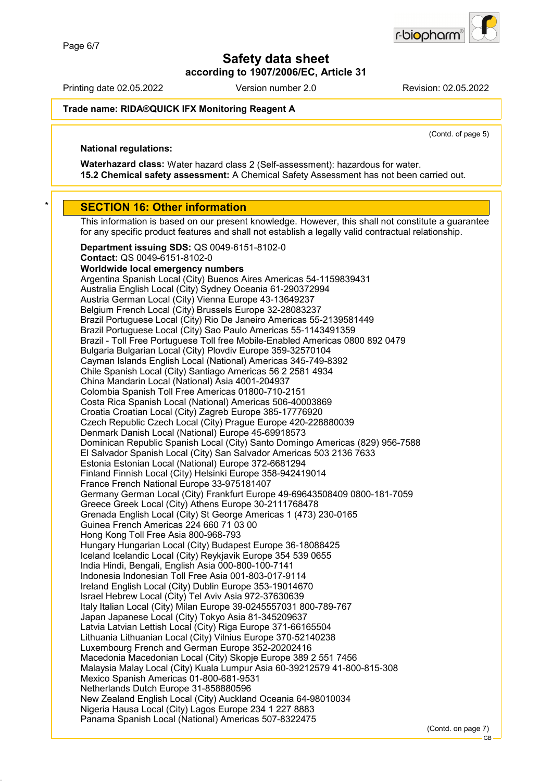**according to 1907/2006/EC, Article 31**

Printing date 02.05.2022 Version number 2.0 Revision: 02.05.2022

biopharr-

#### **Trade name: RIDA®QUICK IFX Monitoring Reagent A**

(Contd. of page 5)

#### **National regulations:**

**Waterhazard class:** Water hazard class 2 (Self-assessment): hazardous for water. **15.2 Chemical safety assessment:** A Chemical Safety Assessment has not been carried out.

#### **SECTION 16: Other information**

This information is based on our present knowledge. However, this shall not constitute a guarantee for any specific product features and shall not establish a legally valid contractual relationship.

**Department issuing SDS:** QS 0049-6151-8102-0 **Contact:** QS 0049-6151-8102-0 **Worldwide local emergency numbers** Argentina Spanish Local (City) Buenos Aires Americas 54-1159839431 Australia English Local (City) Sydney Oceania 61-290372994 Austria German Local (City) Vienna Europe 43-13649237 Belgium French Local (City) Brussels Europe 32-28083237 Brazil Portuguese Local (City) Rio De Janeiro Americas 55-2139581449 Brazil Portuguese Local (City) Sao Paulo Americas 55-1143491359 Brazil - Toll Free Portuguese Toll free Mobile-Enabled Americas 0800 892 0479 Bulgaria Bulgarian Local (City) Plovdiv Europe 359-32570104 Cayman Islands English Local (National) Americas 345-749-8392 Chile Spanish Local (City) Santiago Americas 56 2 2581 4934 China Mandarin Local (National) Asia 4001-204937 Colombia Spanish Toll Free Americas 01800-710-2151 Costa Rica Spanish Local (National) Americas 506-40003869 Croatia Croatian Local (City) Zagreb Europe 385-17776920 Czech Republic Czech Local (City) Prague Europe 420-228880039 Denmark Danish Local (National) Europe 45-69918573 Dominican Republic Spanish Local (City) Santo Domingo Americas (829) 956-7588 El Salvador Spanish Local (City) San Salvador Americas 503 2136 7633 Estonia Estonian Local (National) Europe 372-6681294 Finland Finnish Local (City) Helsinki Europe 358-942419014 France French National Europe 33-975181407 Germany German Local (City) Frankfurt Europe 49-69643508409 0800-181-7059 Greece Greek Local (City) Athens Europe 30-2111768478 Grenada English Local (City) St George Americas 1 (473) 230-0165 Guinea French Americas 224 660 71 03 00 Hong Kong Toll Free Asia 800-968-793 Hungary Hungarian Local (City) Budapest Europe 36-18088425 Iceland Icelandic Local (City) Reykjavik Europe 354 539 0655 India Hindi, Bengali, English Asia 000-800-100-7141 Indonesia Indonesian Toll Free Asia 001-803-017-9114 Ireland English Local (City) Dublin Europe 353-19014670 Israel Hebrew Local (City) Tel Aviv Asia 972-37630639 Italy Italian Local (City) Milan Europe 39-0245557031 800-789-767 Japan Japanese Local (City) Tokyo Asia 81-345209637 Latvia Latvian Lettish Local (City) Riga Europe 371-66165504 Lithuania Lithuanian Local (City) Vilnius Europe 370-52140238 Luxembourg French and German Europe 352-20202416 Macedonia Macedonian Local (City) Skopje Europe 389 2 551 7456 Malaysia Malay Local (City) Kuala Lumpur Asia 60-39212579 41-800-815-308 Mexico Spanish Americas 01-800-681-9531 Netherlands Dutch Europe 31-858880596 New Zealand English Local (City) Auckland Oceania 64-98010034 Nigeria Hausa Local (City) Lagos Europe 234 1 227 8883 Panama Spanish Local (National) Americas 507-8322475

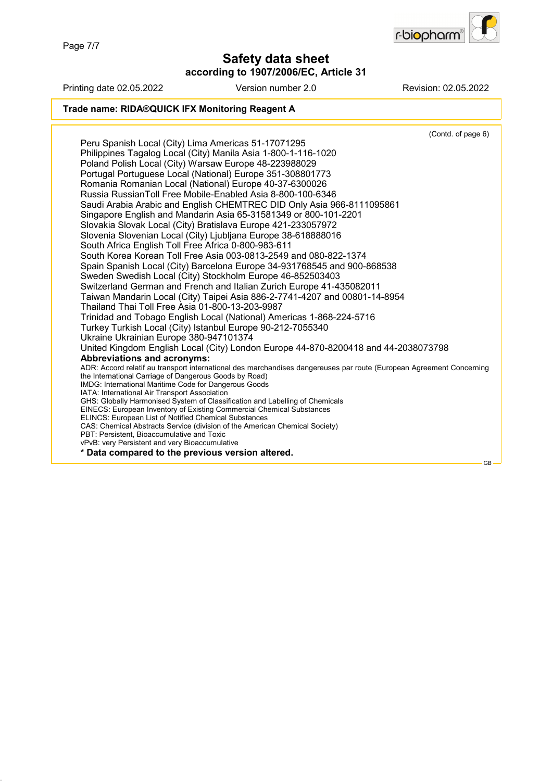Page 7/7

### **Safety data sheet according to 1907/2006/EC, Article 31**



Printing date 02.05.2022 Version number 2.0 Revision: 02.05.2022

#### **Trade name: RIDA®QUICK IFX Monitoring Reagent A**

(Contd. of page 6) Peru Spanish Local (City) Lima Americas 51-17071295 Philippines Tagalog Local (City) Manila Asia 1-800-1-116-1020 Poland Polish Local (City) Warsaw Europe 48-223988029 Portugal Portuguese Local (National) Europe 351-308801773 Romania Romanian Local (National) Europe 40-37-6300026 Russia RussianToll Free Mobile-Enabled Asia 8-800-100-6346 Saudi Arabia Arabic and English CHEMTREC DID Only Asia 966-8111095861 Singapore English and Mandarin Asia 65-31581349 or 800-101-2201 Slovakia Slovak Local (City) Bratislava Europe 421-233057972 Slovenia Slovenian Local (City) Ljubljana Europe 38-618888016 South Africa English Toll Free Africa 0-800-983-611 South Korea Korean Toll Free Asia 003-0813-2549 and 080-822-1374 Spain Spanish Local (City) Barcelona Europe 34-931768545 and 900-868538 Sweden Swedish Local (City) Stockholm Europe 46-852503403 Switzerland German and French and Italian Zurich Europe 41-435082011 Taiwan Mandarin Local (City) Taipei Asia 886-2-7741-4207 and 00801-14-8954 Thailand Thai Toll Free Asia 01-800-13-203-9987 Trinidad and Tobago English Local (National) Americas 1-868-224-5716 Turkey Turkish Local (City) Istanbul Europe 90-212-7055340 Ukraine Ukrainian Europe 380-947101374 United Kingdom English Local (City) London Europe 44-870-8200418 and 44-2038073798 **Abbreviations and acronyms:** ADR: Accord relatif au transport international des marchandises dangereuses par route (European Agreement Concerning the International Carriage of Dangerous Goods by Road) IMDG: International Maritime Code for Dangerous Goods IATA: International Air Transport Association GHS: Globally Harmonised System of Classification and Labelling of Chemicals EINECS: European Inventory of Existing Commercial Chemical Substances ELINCS: European List of Notified Chemical Substances CAS: Chemical Abstracts Service (division of the American Chemical Society) PBT: Persistent, Bioaccumulative and Toxic vPvB: very Persistent and very Bioaccumulative **\* Data compared to the previous version altered.**

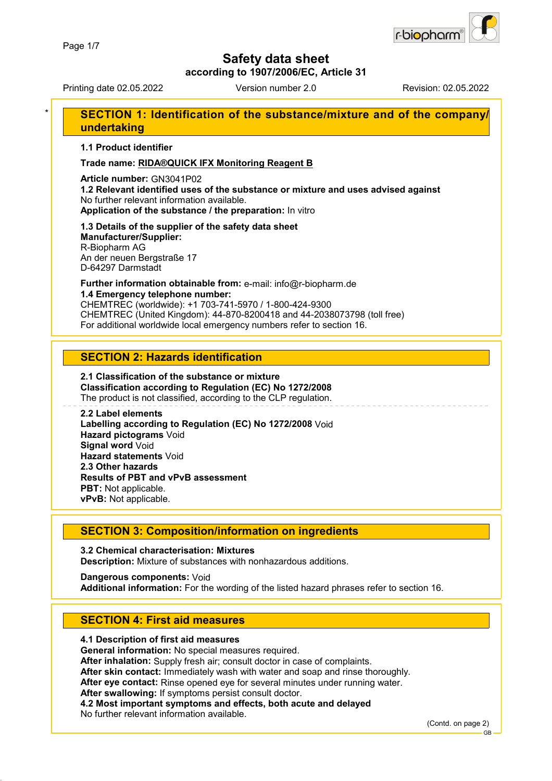

**according to 1907/2006/EC, Article 31**

Printing date 02.05.2022 Version number 2.0 Revision: 02.05.2022

### **SECTION 1: Identification of the substance/mixture and of the company/ undertaking**

**1.1 Product identifier**

**Trade name: RIDA®QUICK IFX Monitoring Reagent B**

**Article number:** GN3041P02

**1.2 Relevant identified uses of the substance or mixture and uses advised against** No further relevant information available. **Application of the substance / the preparation:** In vitro

# **1.3 Details of the supplier of the safety data sheet**

**Manufacturer/Supplier:** R-Biopharm AG An der neuen Bergstraße 17 D-64297 Darmstadt

### **Further information obtainable from:** e-mail: info@r-biopharm.de **1.4 Emergency telephone number:**

CHEMTREC (worldwide): +1 703-741-5970 / 1-800-424-9300 CHEMTREC (United Kingdom): 44-870-8200418 and 44-2038073798 (toll free) For additional worldwide local emergency numbers refer to section 16.

### **SECTION 2: Hazards identification**

#### **2.1 Classification of the substance or mixture Classification according to Regulation (EC) No 1272/2008** The product is not classified, according to the CLP regulation.

**2.2 Label elements Labelling according to Regulation (EC) No 1272/2008** Void **Hazard pictograms** Void **Signal word** Void **Hazard statements** Void **2.3 Other hazards Results of PBT and vPvB assessment PBT:** Not applicable. **vPvB:** Not applicable.

### **SECTION 3: Composition/information on ingredients**

**3.2 Chemical characterisation: Mixtures Description:** Mixture of substances with nonhazardous additions.

**Dangerous components:** Void **Additional information:** For the wording of the listed hazard phrases refer to section 16.

### **SECTION 4: First aid measures**

### **4.1 Description of first aid measures**

**General information:** No special measures required.

**After inhalation:** Supply fresh air; consult doctor in case of complaints.

**After skin contact:** Immediately wash with water and soap and rinse thoroughly.

**After eye contact:** Rinse opened eye for several minutes under running water.

**After swallowing:** If symptoms persist consult doctor.

**4.2 Most important symptoms and effects, both acute and delayed**

No further relevant information available.

(Contd. on page 2)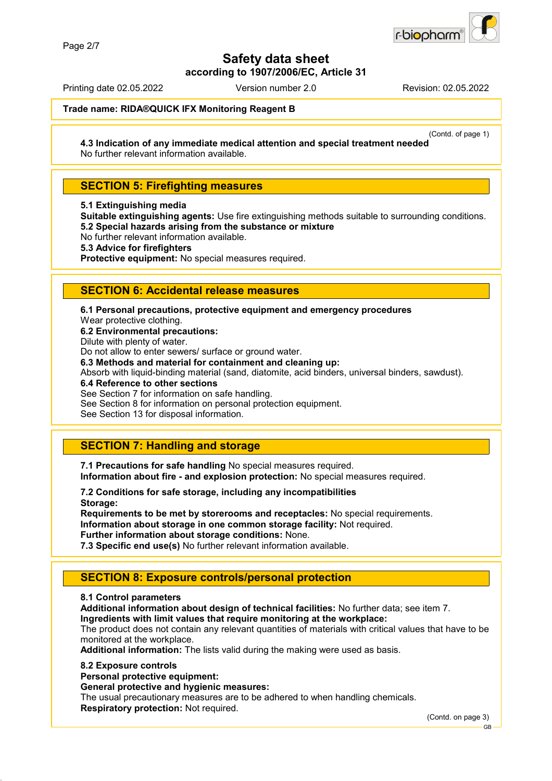

**according to 1907/2006/EC, Article 31**

Printing date 02.05.2022 Version number 2.0 Revision: 02.05.2022

#### **Trade name: RIDA®QUICK IFX Monitoring Reagent B**

(Contd. of page 1)

**4.3 Indication of any immediate medical attention and special treatment needed** No further relevant information available.

### **SECTION 5: Firefighting measures**

**5.1 Extinguishing media**

**Suitable extinguishing agents:** Use fire extinguishing methods suitable to surrounding conditions. **5.2 Special hazards arising from the substance or mixture**

No further relevant information available.

**5.3 Advice for firefighters**

**Protective equipment:** No special measures required.

### **SECTION 6: Accidental release measures**

**6.1 Personal precautions, protective equipment and emergency procedures**

Wear protective clothing.

**6.2 Environmental precautions:**

Dilute with plenty of water.

Do not allow to enter sewers/ surface or ground water.

**6.3 Methods and material for containment and cleaning up:**

Absorb with liquid-binding material (sand, diatomite, acid binders, universal binders, sawdust).

**6.4 Reference to other sections**

See Section 7 for information on safe handling.

See Section 8 for information on personal protection equipment.

See Section 13 for disposal information.

### **SECTION 7: Handling and storage**

**7.1 Precautions for safe handling** No special measures required. **Information about fire - and explosion protection:** No special measures required.

**7.2 Conditions for safe storage, including any incompatibilities Storage:**

**Requirements to be met by storerooms and receptacles:** No special requirements. **Information about storage in one common storage facility:** Not required. **Further information about storage conditions:** None.

**7.3 Specific end use(s)** No further relevant information available.

### **SECTION 8: Exposure controls/personal protection**

#### **8.1 Control parameters**

**Additional information about design of technical facilities:** No further data; see item 7.

**Ingredients with limit values that require monitoring at the workplace:**

The product does not contain any relevant quantities of materials with critical values that have to be monitored at the workplace.

**Additional information:** The lists valid during the making were used as basis.

#### **8.2 Exposure controls**

**Personal protective equipment:**

**General protective and hygienic measures:**

The usual precautionary measures are to be adhered to when handling chemicals. **Respiratory protection:** Not required.

(Contd. on page 3)

GB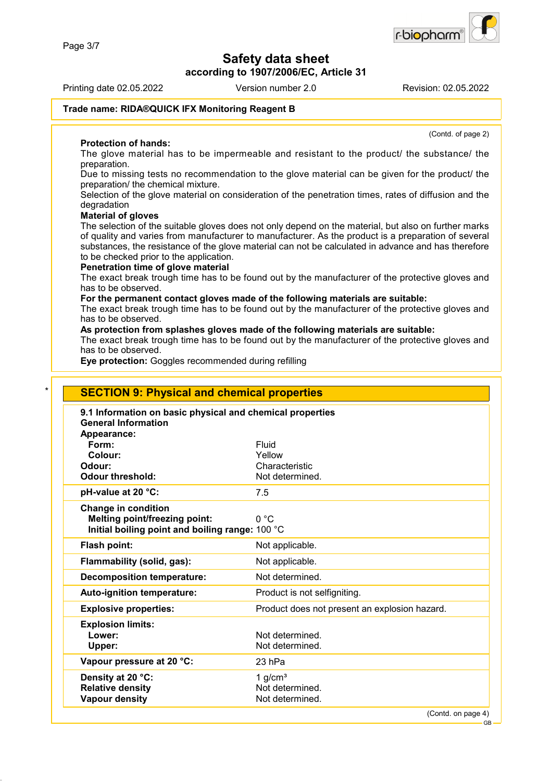**according to 1907/2006/EC, Article 31**

Printing date 02.05.2022 Version number 2.0 Revision: 02.05.2022

(Contd. of page 2)

#### **Trade name: RIDA®QUICK IFX Monitoring Reagent B**

#### **Protection of hands:**

The glove material has to be impermeable and resistant to the product/ the substance/ the preparation.

Due to missing tests no recommendation to the glove material can be given for the product/ the preparation/ the chemical mixture.

Selection of the glove material on consideration of the penetration times, rates of diffusion and the degradation

#### **Material of gloves**

The selection of the suitable gloves does not only depend on the material, but also on further marks of quality and varies from manufacturer to manufacturer. As the product is a preparation of several substances, the resistance of the glove material can not be calculated in advance and has therefore to be checked prior to the application.

#### **Penetration time of glove material**

The exact break trough time has to be found out by the manufacturer of the protective gloves and has to be observed.

#### **For the permanent contact gloves made of the following materials are suitable:**

The exact break trough time has to be found out by the manufacturer of the protective gloves and has to be observed.

### **As protection from splashes gloves made of the following materials are suitable:**

The exact break trough time has to be found out by the manufacturer of the protective gloves and has to be observed.

**Eye protection:** Goggles recommended during refilling

| 9.1 Information on basic physical and chemical properties<br><b>General Information</b> |                                               |
|-----------------------------------------------------------------------------------------|-----------------------------------------------|
| Appearance:                                                                             |                                               |
| Form:                                                                                   | Fluid                                         |
| Colour:                                                                                 | Yellow                                        |
| Odour:                                                                                  | Characteristic                                |
| <b>Odour threshold:</b>                                                                 | Not determined.                               |
| pH-value at 20 °C:                                                                      | 7.5                                           |
| <b>Change in condition</b>                                                              |                                               |
| Melting point/freezing point:                                                           | 0 °C                                          |
| Initial boiling point and boiling range: 100 °C                                         |                                               |
| Flash point:                                                                            | Not applicable.                               |
| Flammability (solid, gas):                                                              | Not applicable.                               |
| <b>Decomposition temperature:</b>                                                       | Not determined.                               |
| Auto-ignition temperature:                                                              | Product is not selfigniting.                  |
| <b>Explosive properties:</b>                                                            | Product does not present an explosion hazard. |
| <b>Explosion limits:</b>                                                                |                                               |
| Lower:                                                                                  | Not determined.                               |
| Upper:                                                                                  | Not determined.                               |
| Vapour pressure at 20 °C:                                                               | 23 hPa                                        |
| Density at 20 °C:                                                                       | 1 $q/cm3$                                     |
| <b>Relative density</b>                                                                 | Not determined.                               |

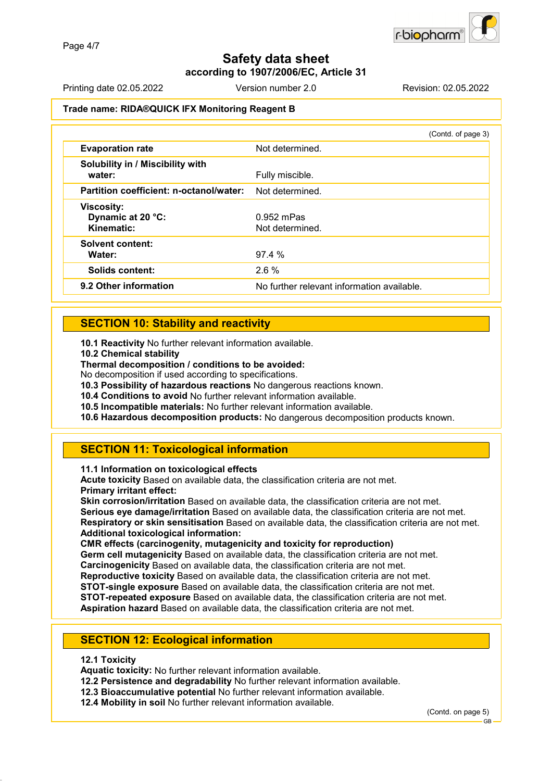### **Safety data sheet according to 1907/2006/EC, Article 31**

Printing date 02.05.2022 Version number 2.0 Revision: 02.05.2022

### **Trade name: RIDA®QUICK IFX Monitoring Reagent B**

|                                                      | (Contd. of page 3)                         |
|------------------------------------------------------|--------------------------------------------|
| <b>Evaporation rate</b>                              | Not determined.                            |
| Solubility in / Miscibility with<br>water:           | Fully miscible.                            |
| Partition coefficient: n-octanol/water:              | Not determined.                            |
| <b>Viscosity:</b><br>Dynamic at 20 °C:<br>Kinematic: | $0.952$ mPas<br>Not determined.            |
| <b>Solvent content:</b><br>Water:                    | 97.4%                                      |
| <b>Solids content:</b>                               | 2.6%                                       |
| 9.2 Other information                                | No further relevant information available. |

### **SECTION 10: Stability and reactivity**

**10.1 Reactivity** No further relevant information available.

**10.2 Chemical stability**

**Thermal decomposition / conditions to be avoided:**

No decomposition if used according to specifications.

**10.3 Possibility of hazardous reactions** No dangerous reactions known.

**10.4 Conditions to avoid** No further relevant information available.

**10.5 Incompatible materials:** No further relevant information available.

**10.6 Hazardous decomposition products:** No dangerous decomposition products known.

### **SECTION 11: Toxicological information**

**11.1 Information on toxicological effects**

**Acute toxicity** Based on available data, the classification criteria are not met. **Primary irritant effect:**

**Skin corrosion/irritation** Based on available data, the classification criteria are not met. **Serious eye damage/irritation** Based on available data, the classification criteria are not met. **Respiratory or skin sensitisation** Based on available data, the classification criteria are not met. **Additional toxicological information:**

**CMR effects (carcinogenity, mutagenicity and toxicity for reproduction)**

**Germ cell mutagenicity** Based on available data, the classification criteria are not met.

**Carcinogenicity** Based on available data, the classification criteria are not met.

**Reproductive toxicity** Based on available data, the classification criteria are not met.

**STOT-single exposure** Based on available data, the classification criteria are not met. **STOT-repeated exposure** Based on available data, the classification criteria are not met.

**Aspiration hazard** Based on available data, the classification criteria are not met.

### **SECTION 12: Ecological information**

#### **12.1 Toxicity**

**Aquatic toxicity:** No further relevant information available.

**12.2 Persistence and degradability** No further relevant information available.

**12.3 Bioaccumulative potential** No further relevant information available.

**12.4 Mobility in soil** No further relevant information available.

(Contd. on page 5)

GB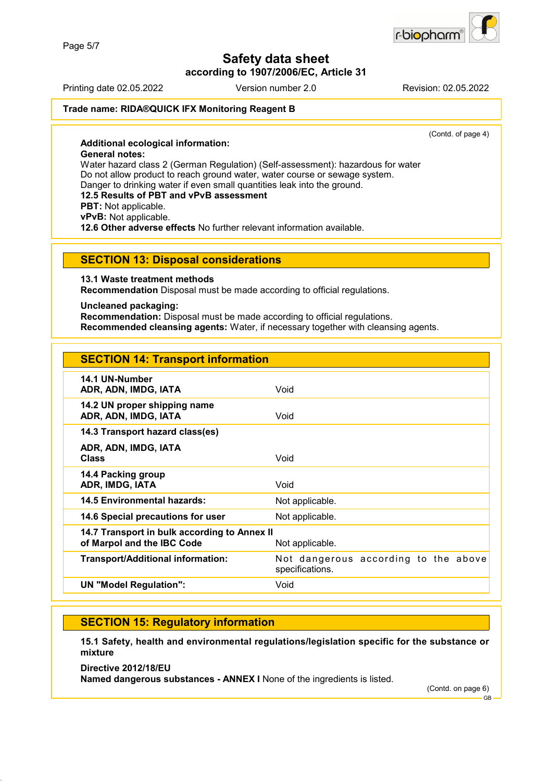**according to 1907/2006/EC, Article 31**

Printing date 02.05.2022 Version number 2.0 Revision: 02.05.2022

r-biopharn

#### **Trade name: RIDA®QUICK IFX Monitoring Reagent B**

(Contd. of page 4)

**Additional ecological information: General notes:** Water hazard class 2 (German Regulation) (Self-assessment): hazardous for water Do not allow product to reach ground water, water course or sewage system. Danger to drinking water if even small quantities leak into the ground. **12.5 Results of PBT and vPvB assessment PBT:** Not applicable. **vPvB:** Not applicable. **12.6 Other adverse effects** No further relevant information available.

#### **SECTION 13: Disposal considerations**

**13.1 Waste treatment methods**

**Recommendation** Disposal must be made according to official regulations.

**Uncleaned packaging:**

**Recommendation:** Disposal must be made according to official regulations. **Recommended cleansing agents:** Water, if necessary together with cleansing agents.

| <b>SECTION 14: Transport information</b>                                   |                                                         |
|----------------------------------------------------------------------------|---------------------------------------------------------|
| 14.1 UN-Number<br>ADR, ADN, IMDG, IATA                                     | Void                                                    |
| 14.2 UN proper shipping name<br>ADR, ADN, IMDG, IATA                       | Void                                                    |
| 14.3 Transport hazard class(es)                                            |                                                         |
| ADR, ADN, IMDG, IATA<br><b>Class</b>                                       | Void                                                    |
| 14.4 Packing group<br>ADR, IMDG, IATA                                      | Void                                                    |
| <b>14.5 Environmental hazards:</b>                                         | Not applicable.                                         |
| 14.6 Special precautions for user                                          | Not applicable.                                         |
| 14.7 Transport in bulk according to Annex II<br>of Marpol and the IBC Code | Not applicable.                                         |
| <b>Transport/Additional information:</b>                                   | Not dangerous according to the above<br>specifications. |
| <b>UN "Model Regulation":</b>                                              | Void                                                    |
|                                                                            |                                                         |

### **SECTION 15: Regulatory information**

**15.1 Safety, health and environmental regulations/legislation specific for the substance or mixture**

**Directive 2012/18/EU Named dangerous substances - ANNEX I** None of the ingredients is listed.

(Contd. on page 6)

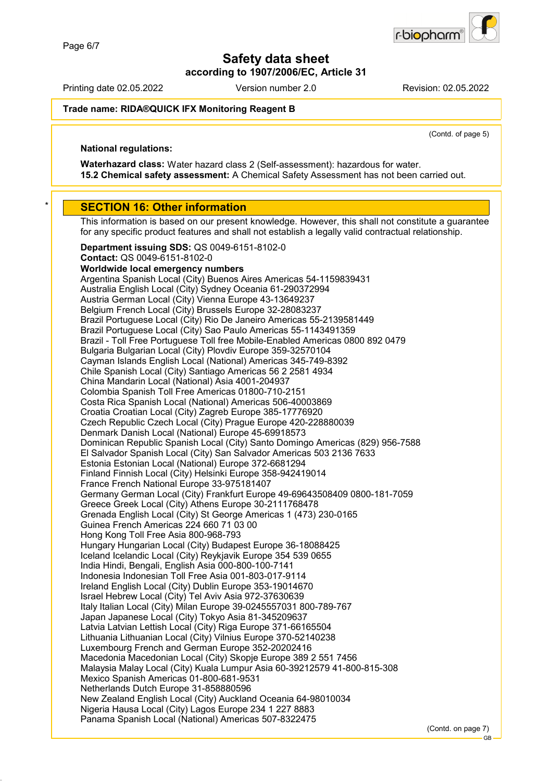**according to 1907/2006/EC, Article 31**

Printing date 02.05.2022 Version number 2.0 Revision: 02.05.2022

biopharr-

#### **Trade name: RIDA®QUICK IFX Monitoring Reagent B**

(Contd. of page 5)

### **National regulations:**

**Waterhazard class:** Water hazard class 2 (Self-assessment): hazardous for water. **15.2 Chemical safety assessment:** A Chemical Safety Assessment has not been carried out.

#### **SECTION 16: Other information**

This information is based on our present knowledge. However, this shall not constitute a guarantee for any specific product features and shall not establish a legally valid contractual relationship.

**Department issuing SDS:** QS 0049-6151-8102-0 **Contact:** QS 0049-6151-8102-0 **Worldwide local emergency numbers** Argentina Spanish Local (City) Buenos Aires Americas 54-1159839431 Australia English Local (City) Sydney Oceania 61-290372994 Austria German Local (City) Vienna Europe 43-13649237 Belgium French Local (City) Brussels Europe 32-28083237 Brazil Portuguese Local (City) Rio De Janeiro Americas 55-2139581449 Brazil Portuguese Local (City) Sao Paulo Americas 55-1143491359 Brazil - Toll Free Portuguese Toll free Mobile-Enabled Americas 0800 892 0479 Bulgaria Bulgarian Local (City) Plovdiv Europe 359-32570104 Cayman Islands English Local (National) Americas 345-749-8392 Chile Spanish Local (City) Santiago Americas 56 2 2581 4934 China Mandarin Local (National) Asia 4001-204937 Colombia Spanish Toll Free Americas 01800-710-2151 Costa Rica Spanish Local (National) Americas 506-40003869 Croatia Croatian Local (City) Zagreb Europe 385-17776920 Czech Republic Czech Local (City) Prague Europe 420-228880039 Denmark Danish Local (National) Europe 45-69918573 Dominican Republic Spanish Local (City) Santo Domingo Americas (829) 956-7588 El Salvador Spanish Local (City) San Salvador Americas 503 2136 7633 Estonia Estonian Local (National) Europe 372-6681294 Finland Finnish Local (City) Helsinki Europe 358-942419014 France French National Europe 33-975181407 Germany German Local (City) Frankfurt Europe 49-69643508409 0800-181-7059 Greece Greek Local (City) Athens Europe 30-2111768478 Grenada English Local (City) St George Americas 1 (473) 230-0165 Guinea French Americas 224 660 71 03 00 Hong Kong Toll Free Asia 800-968-793 Hungary Hungarian Local (City) Budapest Europe 36-18088425 Iceland Icelandic Local (City) Reykjavik Europe 354 539 0655 India Hindi, Bengali, English Asia 000-800-100-7141 Indonesia Indonesian Toll Free Asia 001-803-017-9114 Ireland English Local (City) Dublin Europe 353-19014670 Israel Hebrew Local (City) Tel Aviv Asia 972-37630639 Italy Italian Local (City) Milan Europe 39-0245557031 800-789-767 Japan Japanese Local (City) Tokyo Asia 81-345209637 Latvia Latvian Lettish Local (City) Riga Europe 371-66165504 Lithuania Lithuanian Local (City) Vilnius Europe 370-52140238 Luxembourg French and German Europe 352-20202416 Macedonia Macedonian Local (City) Skopje Europe 389 2 551 7456 Malaysia Malay Local (City) Kuala Lumpur Asia 60-39212579 41-800-815-308 Mexico Spanish Americas 01-800-681-9531 Netherlands Dutch Europe 31-858880596 New Zealand English Local (City) Auckland Oceania 64-98010034 Nigeria Hausa Local (City) Lagos Europe 234 1 227 8883 Panama Spanish Local (National) Americas 507-8322475 (Contd. on page 7)